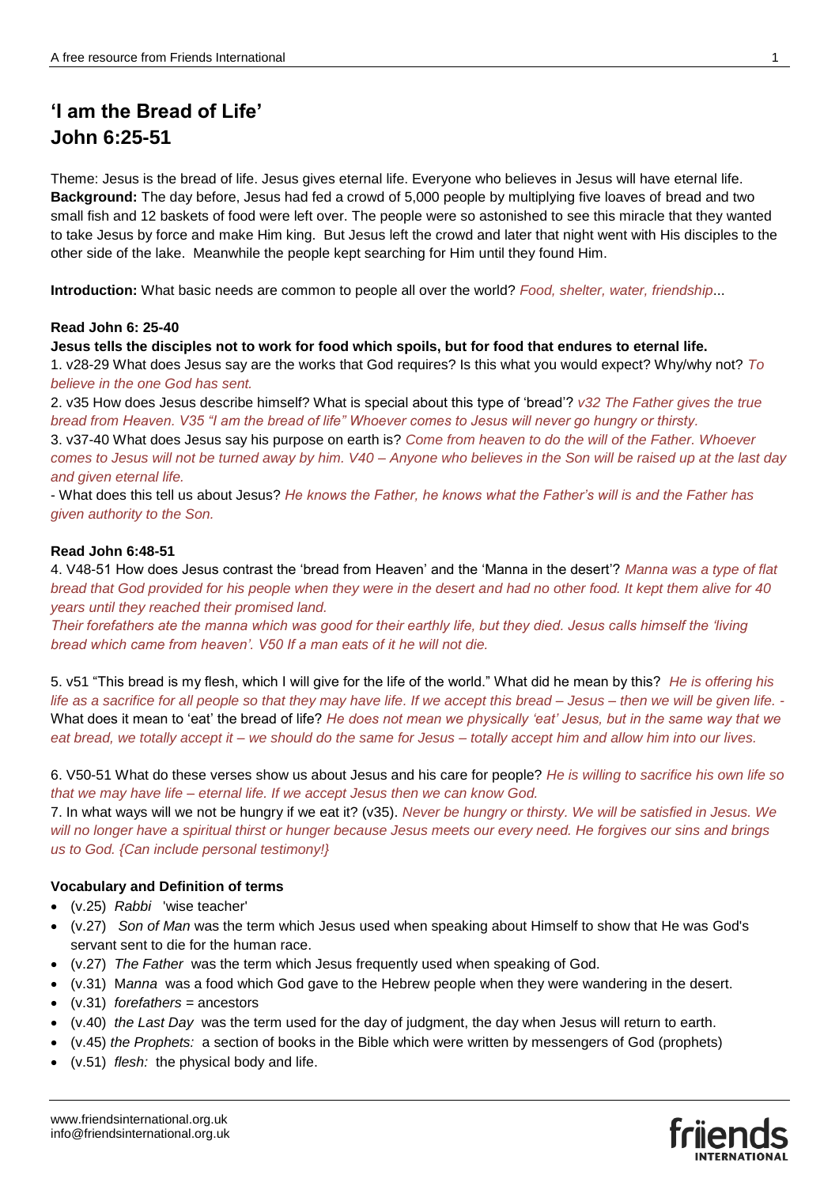# **'I am the Bread of Life' John 6:25-51**

Theme: Jesus is the bread of life. Jesus gives eternal life. Everyone who believes in Jesus will have eternal life. **Background:** The day before, Jesus had fed a crowd of 5,000 people by multiplying five loaves of bread and two small fish and 12 baskets of food were left over. The people were so astonished to see this miracle that they wanted to take Jesus by force and make Him king. But Jesus left the crowd and later that night went with His disciples to the other side of the lake. Meanwhile the people kept searching for Him until they found Him.

**Introduction:** What basic needs are common to people all over the world? *Food, shelter, water, friendship*...

### **Read John 6: 25-40**

**Jesus tells the disciples not to work for food which spoils, but for food that endures to eternal life.** 

1. v28-29 What does Jesus say are the works that God requires? Is this what you would expect? Why/why not? *To believe in the one God has sent.* 

2. v35 How does Jesus describe himself? What is special about this type of 'bread'? *v32 The Father gives the true bread from Heaven. V35 "I am the bread of life" Whoever comes to Jesus will never go hungry or thirsty.*  3. v37-40 What does Jesus say his purpose on earth is? *Come from heaven to do the will of the Father. Whoever comes to Jesus will not be turned away by him. V40 – Anyone who believes in the Son will be raised up at the last day and given eternal life.* 

- What does this tell us about Jesus? *He knows the Father, he knows what the Father's will is and the Father has given authority to the Son.* 

### **Read John 6:48-51**

4. V48-51 How does Jesus contrast the 'bread from Heaven' and the 'Manna in the desert'? *Manna was a type of flat bread that God provided for his people when they were in the desert and had no other food. It kept them alive for 40 years until they reached their promised land.* 

*Their forefathers ate the manna which was good for their earthly life, but they died. Jesus calls himself the 'living bread which came from heaven'. V50 If a man eats of it he will not die.* 

5. v51 "This bread is my flesh, which I will give for the life of the world." What did he mean by this? *He is offering his life as a sacrifice for all people so that they may have life. If we accept this bread – Jesus – then we will be given life. -* What does it mean to 'eat' the bread of life? *He does not mean we physically 'eat' Jesus, but in the same way that we eat bread, we totally accept it – we should do the same for Jesus – totally accept him and allow him into our lives.* 

6. V50-51 What do these verses show us about Jesus and his care for people? *He is willing to sacrifice his own life so that we may have life – eternal life. If we accept Jesus then we can know God.* 

7. In what ways will we not be hungry if we eat it? (v35). *Never be hungry or thirsty. We will be satisfied in Jesus. We will no longer have a spiritual thirst or hunger because Jesus meets our every need. He forgives our sins and brings us to God. {Can include personal testimony!}*

### **Vocabulary and Definition of terms**

- (v.25) *Rabbi* 'wise teacher'
- (v.27) *Son of Man* was the term which Jesus used when speaking about Himself to show that He was God's servant sent to die for the human race.
- (v.27) *The Father* was the term which Jesus frequently used when speaking of God.
- (v.31) M*anna* was a food which God gave to the Hebrew people when they were wandering in the desert.
- (v.31) *forefathers =* ancestors
- (v.40) *the Last Day* was the term used for the day of judgment, the day when Jesus will return to earth.
- (v.45) *the Prophets:* a section of books in the Bible which were written by messengers of God (prophets)
- (v.51) *flesh:* the physical body and life.

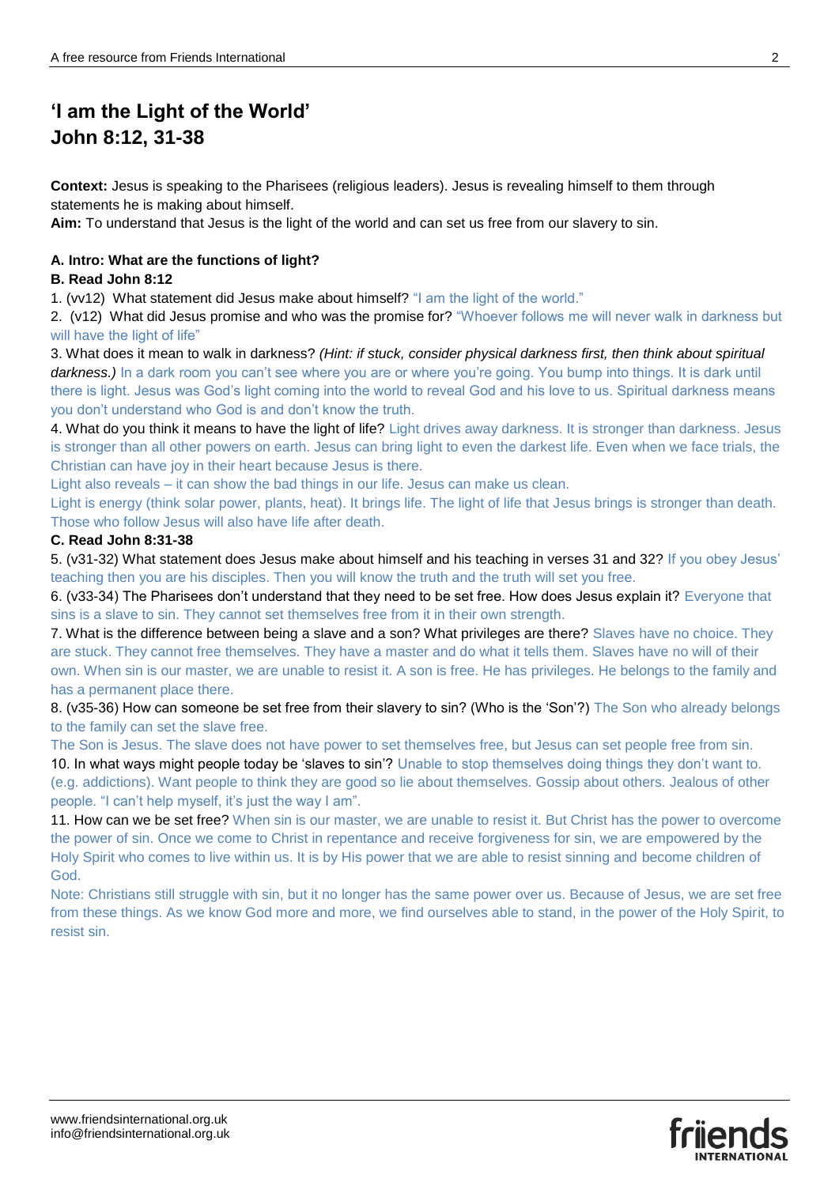# **'I am the Light of the World' John 8:12, 31-38**

**Context:** Jesus is speaking to the Pharisees (religious leaders). Jesus is revealing himself to them through statements he is making about himself.

**Aim:** To understand that Jesus is the light of the world and can set us free from our slavery to sin.

## **A. Intro: What are the functions of light?**

### **B. Read John 8:12**

1. (vv12) What statement did Jesus make about himself? "I am the light of the world."

2. (v12) What did Jesus promise and who was the promise for? "Whoever follows me will never walk in darkness but will have the light of life"

3. What does it mean to walk in darkness? *(Hint: if stuck, consider physical darkness first, then think about spiritual*  darkness.) In a dark room you can't see where you are or where you're going. You bump into things. It is dark until there is light. Jesus was God's light coming into the world to reveal God and his love to us. Spiritual darkness means you don't understand who God is and don't know the truth.

4. What do you think it means to have the light of life? Light drives away darkness. It is stronger than darkness. Jesus is stronger than all other powers on earth. Jesus can bring light to even the darkest life. Even when we face trials, the Christian can have joy in their heart because Jesus is there.

Light also reveals – it can show the bad things in our life. Jesus can make us clean.

Light is energy (think solar power, plants, heat). It brings life. The light of life that Jesus brings is stronger than death. Those who follow Jesus will also have life after death.

### **C. Read John 8:31-38**

5. (v31-32) What statement does Jesus make about himself and his teaching in verses 31 and 32? If you obey Jesus' teaching then you are his disciples. Then you will know the truth and the truth will set you free.

6. (v33-34) The Pharisees don't understand that they need to be set free. How does Jesus explain it? Everyone that sins is a slave to sin. They cannot set themselves free from it in their own strength.

7. What is the difference between being a slave and a son? What privileges are there? Slaves have no choice. They are stuck. They cannot free themselves. They have a master and do what it tells them. Slaves have no will of their own. When sin is our master, we are unable to resist it. A son is free. He has privileges. He belongs to the family and has a permanent place there.

8. (v35-36) How can someone be set free from their slavery to sin? (Who is the 'Son'?) The Son who already belongs to the family can set the slave free.

The Son is Jesus. The slave does not have power to set themselves free, but Jesus can set people free from sin. 10. In what ways might people today be 'slaves to sin'? Unable to stop themselves doing things they don't want to. (e.g. addictions). Want people to think they are good so lie about themselves. Gossip about others. Jealous of other people. "I can't help myself, it's just the way I am".

11. How can we be set free? When sin is our master, we are unable to resist it. But Christ has the power to overcome the power of sin. Once we come to Christ in repentance and receive forgiveness for sin, we are empowered by the Holy Spirit who comes to live within us. It is by His power that we are able to resist sinning and become children of God.

Note: Christians still struggle with sin, but it no longer has the same power over us. Because of Jesus, we are set free from these things. As we know God more and more, we find ourselves able to stand, in the power of the Holy Spirit, to resist sin.

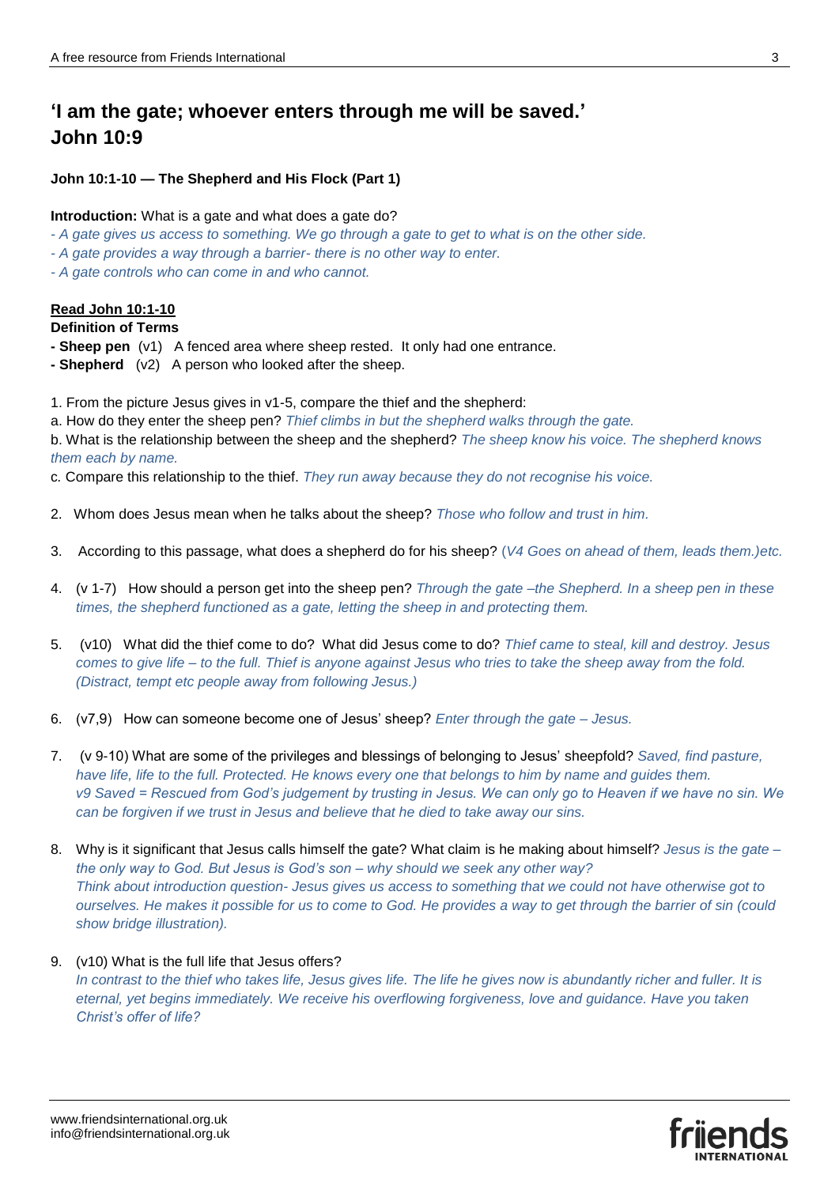## **'I am the gate; whoever enters through me will be saved.' John 10:9**

**John 10:1-10 — The Shepherd and His Flock (Part 1)**

#### **Introduction:** What is a gate and what does a gate do?

- *- A gate gives us access to something. We go through a gate to get to what is on the other side.*
- *- A gate provides a way through a barrier- there is no other way to enter.*
- *- A gate controls who can come in and who cannot.*

## **Read John 10:1-10**

#### **Definition of Terms**

- **- Sheep pen** (v1) A fenced area where sheep rested. It only had one entrance.
- **- Shepherd** (v2) A person who looked after the sheep.
- 1. From the picture Jesus gives in v1-5, compare the thief and the shepherd:
- a. How do they enter the sheep pen? *Thief climbs in but the shepherd walks through the gate.*

b. What is the relationship between the sheep and the shepherd? *The sheep know his voice. The shepherd knows them each by name.*

- c*.* Compare this relationship to the thief. *They run away because they do not recognise his voice.*
- 2. Whom does Jesus mean when he talks about the sheep? *Those who follow and trust in him.*
- 3. According to this passage, what does a shepherd do for his sheep? (*V4 Goes on ahead of them, leads them.)etc.*
- 4. (v 1-7) How should a person get into the sheep pen? *Through the gate –the Shepherd. In a sheep pen in these times, the shepherd functioned as a gate, letting the sheep in and protecting them.*
- 5. (v10) What did the thief come to do? What did Jesus come to do? *Thief came to steal, kill and destroy. Jesus comes to give life – to the full. Thief is anyone against Jesus who tries to take the sheep away from the fold. (Distract, tempt etc people away from following Jesus.)*
- 6. (v7,9) How can someone become one of Jesus' sheep? *Enter through the gate – Jesus.*
- 7. (v 9-10) What are some of the privileges and blessings of belonging to Jesus' sheepfold? *Saved, find pasture, have life, life to the full. Protected. He knows every one that belongs to him by name and guides them. v9 Saved = Rescued from God's judgement by trusting in Jesus. We can only go to Heaven if we have no sin. We can be forgiven if we trust in Jesus and believe that he died to take away our sins.*
- 8. Why is it significant that Jesus calls himself the gate? What claim is he making about himself? *Jesus is the gate – the only way to God. But Jesus is God's son – why should we seek any other way? Think about introduction question- Jesus gives us access to something that we could not have otherwise got to ourselves. He makes it possible for us to come to God. He provides a way to get through the barrier of sin (could show bridge illustration).*

### 9. (v10) What is the full life that Jesus offers?

*In contrast to the thief who takes life, Jesus gives life. The life he gives now is abundantly richer and fuller. It is eternal, yet begins immediately. We receive his overflowing forgiveness, love and guidance. Have you taken Christ's offer of life?*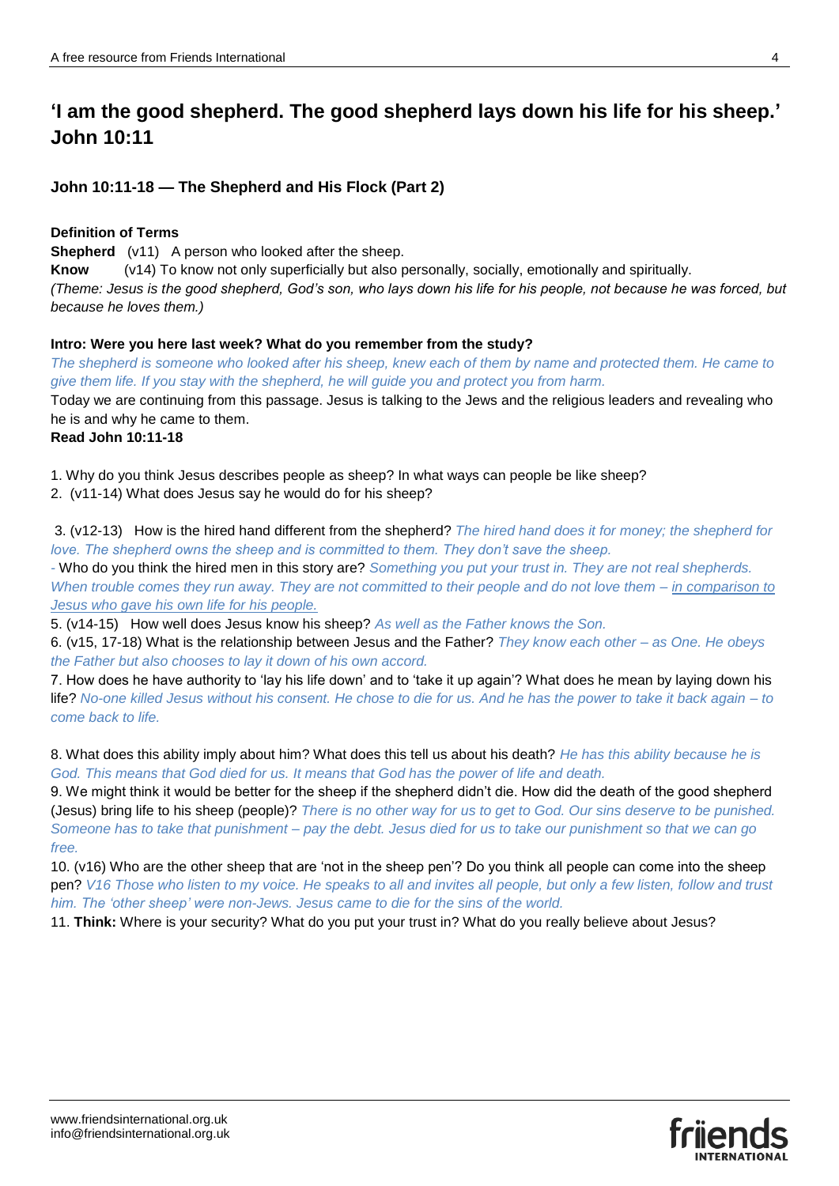## **'I am the good shepherd. The good shepherd lays down his life for his sheep.' John 10:11**

## **John 10:11-18 — The Shepherd and His Flock (Part 2)**

## **Definition of Terms**

**Shepherd** (v11) A person who looked after the sheep.

**Know** (v14) To know not only superficially but also personally, socially, emotionally and spiritually. *(Theme: Jesus is the good shepherd, God's son, who lays down his life for his people, not because he was forced, but because he loves them.)*

## **Intro: Were you here last week? What do you remember from the study?**

*The shepherd is someone who looked after his sheep, knew each of them by name and protected them. He came to give them life. If you stay with the shepherd, he will guide you and protect you from harm.* Today we are continuing from this passage. Jesus is talking to the Jews and the religious leaders and revealing who he is and why he came to them.

## **Read John 10:11-18**

1. Why do you think Jesus describes people as sheep? In what ways can people be like sheep?

2. (v11-14) What does Jesus say he would do for his sheep?

3. (v12-13) How is the hired hand different from the shepherd? *The hired hand does it for money; the shepherd for love. The shepherd owns the sheep and is committed to them. They don't save the sheep.*

*-* Who do you think the hired men in this story are? *Something you put your trust in. They are not real shepherds. When trouble comes they run away. They are not committed to their people and do not love them – in comparison to Jesus who gave his own life for his people.* 

5. (v14-15) How well does Jesus know his sheep? *As well as the Father knows the Son.* 

6. (v15, 17-18) What is the relationship between Jesus and the Father? *They know each other – as One. He obeys the Father but also chooses to lay it down of his own accord.*

7. How does he have authority to 'lay his life down' and to 'take it up again'? What does he mean by laying down his life? *No-one killed Jesus without his consent. He chose to die for us. And he has the power to take it back again – to come back to life.* 

8. What does this ability imply about him? What does this tell us about his death? *He has this ability because he is God. This means that God died for us. It means that God has the power of life and death.*

9. We might think it would be better for the sheep if the shepherd didn't die. How did the death of the good shepherd (Jesus) bring life to his sheep (people)? *There is no other way for us to get to God. Our sins deserve to be punished. Someone has to take that punishment – pay the debt. Jesus died for us to take our punishment so that we can go free.* 

10. (v16) Who are the other sheep that are 'not in the sheep pen'? Do you think all people can come into the sheep pen? *V16 Those who listen to my voice. He speaks to all and invites all people, but only a few listen, follow and trust him. The 'other sheep' were non-Jews. Jesus came to die for the sins of the world.*

11. **Think:** Where is your security? What do you put your trust in? What do you really believe about Jesus?

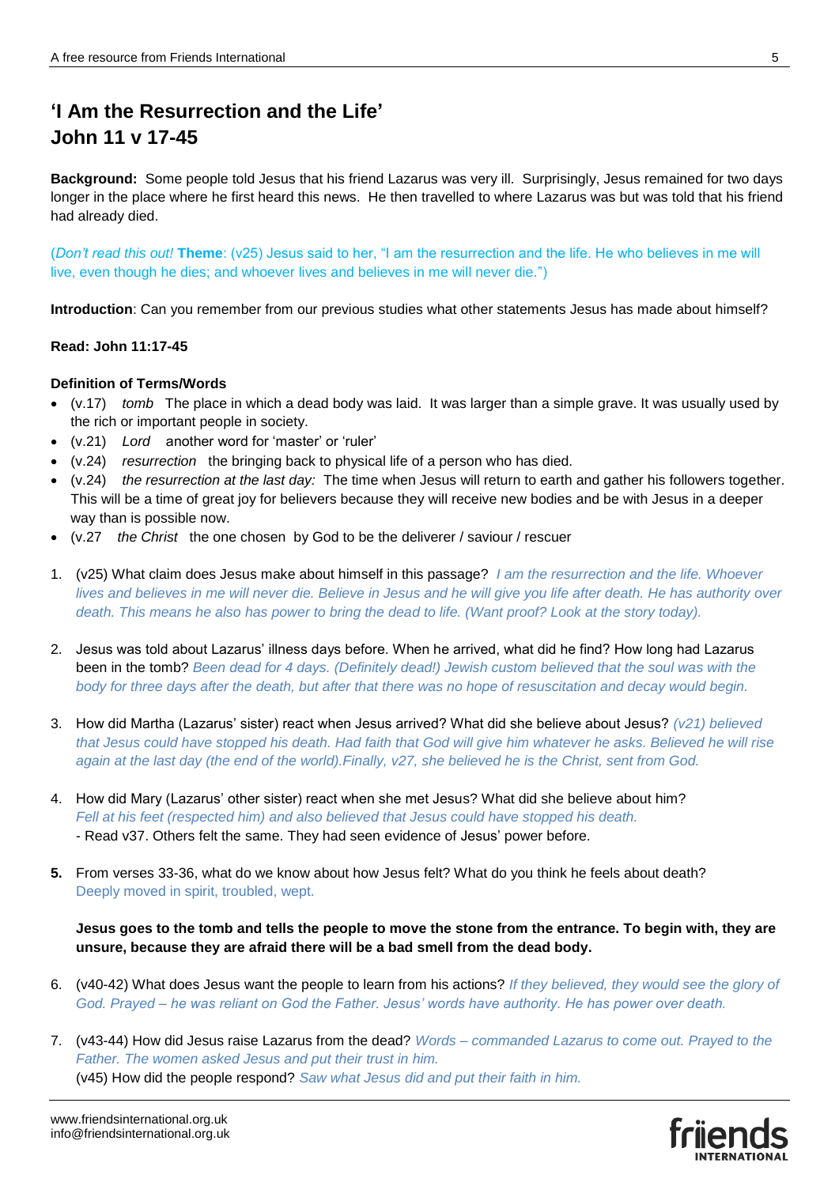## **'I Am the Resurrection and the Life' John 11 v 17-45**

**Background:** Some people told Jesus that his friend Lazarus was very ill. Surprisingly, Jesus remained for two days longer in the place where he first heard this news. He then travelled to where Lazarus was but was told that his friend had already died.

(*Don't read this out!* **Theme**: (v25) Jesus said to her, "I am the resurrection and the life. He who believes in me will live, even though he dies; and whoever lives and believes in me will never die.")

**Introduction**: Can you remember from our previous studies what other statements Jesus has made about himself?

#### **Read: John 11:17-45**

#### **Definition of Terms/Words**

- (v.17) *tomb* The place in which a dead body was laid. It was larger than a simple grave. It was usually used by the rich or important people in society.
- (v.21) *Lord* another word for 'master' or 'ruler'
- (v.24) *resurrection* the bringing back to physical life of a person who has died.
- (v.24) *the resurrection at the last day:* The time when Jesus will return to earth and gather his followers together. This will be a time of great joy for believers because they will receive new bodies and be with Jesus in a deeper way than is possible now.
- (v.27 *the Christ* the one chosen by God to be the deliverer / saviour / rescuer
- 1. (v25) What claim does Jesus make about himself in this passage? *I am the resurrection and the life. Whoever lives and believes in me will never die. Believe in Jesus and he will give you life after death. He has authority over death. This means he also has power to bring the dead to life. (Want proof? Look at the story today).*
- 2. Jesus was told about Lazarus' illness days before. When he arrived, what did he find? How long had Lazarus been in the tomb? *Been dead for 4 days. (Definitely dead!) Jewish custom believed that the soul was with the body for three days after the death, but after that there was no hope of resuscitation and decay would begin.*
- 3. How did Martha (Lazarus' sister) react when Jesus arrived? What did she believe about Jesus? *(v21) believed that Jesus could have stopped his death. Had faith that God will give him whatever he asks. Believed he will rise again at the last day (the end of the world).Finally, v27, she believed he is the Christ, sent from God.*
- 4. How did Mary (Lazarus' other sister) react when she met Jesus? What did she believe about him? *Fell at his feet (respected him) and also believed that Jesus could have stopped his death.* - Read v37. Others felt the same. They had seen evidence of Jesus' power before.
- **5.** From verses 33-36, what do we know about how Jesus felt? What do you think he feels about death? Deeply moved in spirit, troubled, wept.

## **Jesus goes to the tomb and tells the people to move the stone from the entrance. To begin with, they are unsure, because they are afraid there will be a bad smell from the dead body.**

- 6. (v40-42) What does Jesus want the people to learn from his actions? *If they believed, they would see the glory of God. Prayed – he was reliant on God the Father. Jesus' words have authority. He has power over death.*
- 7. (v43-44) How did Jesus raise Lazarus from the dead? *Words – commanded Lazarus to come out. Prayed to the Father. The women asked Jesus and put their trust in him.* (v45) How did the people respond? *Saw what Jesus did and put their faith in him.*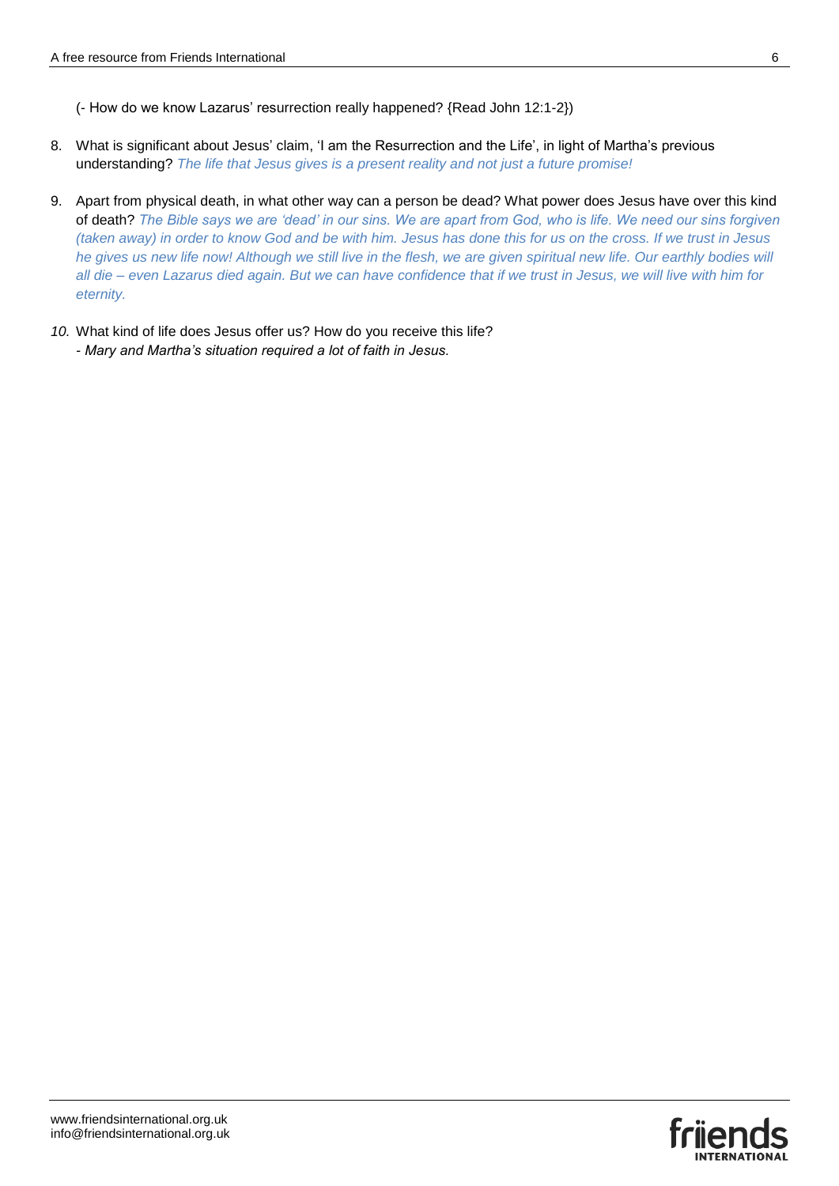- 8. What is significant about Jesus' claim, 'I am the Resurrection and the Life', in light of Martha's previous understanding? *The life that Jesus gives is a present reality and not just a future promise!*
- 9. Apart from physical death, in what other way can a person be dead? What power does Jesus have over this kind of death? *The Bible says we are 'dead' in our sins. We are apart from God, who is life. We need our sins forgiven (taken away) in order to know God and be with him. Jesus has done this for us on the cross. If we trust in Jesus*  he gives us new life now! Although we still live in the flesh, we are given spiritual new life. Our earthly bodies will *all die – even Lazarus died again. But we can have confidence that if we trust in Jesus, we will live with him for eternity.*
- *10.* What kind of life does Jesus offer us? How do you receive this life? *- Mary and Martha's situation required a lot of faith in Jesus.*

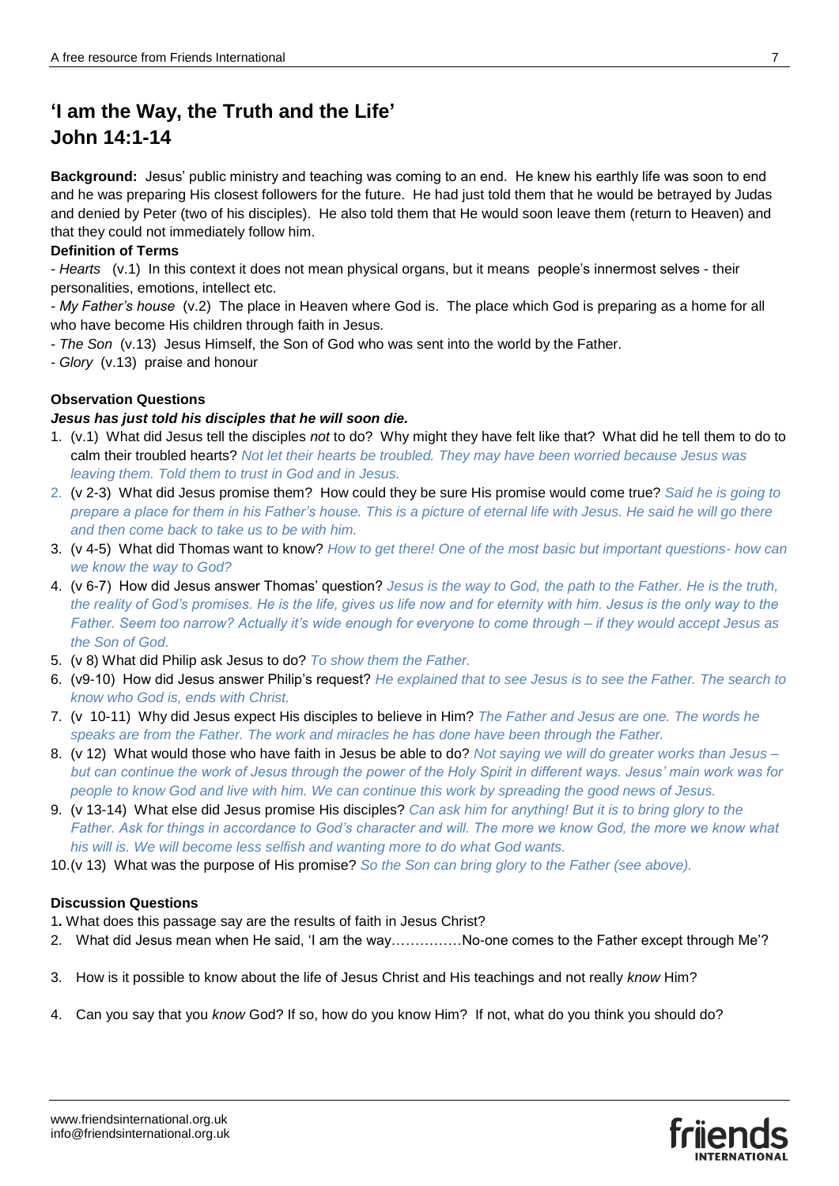## **'I am the Way, the Truth and the Life' John 14:1-14**

**Background:** Jesus' public ministry and teaching was coming to an end. He knew his earthly life was soon to end and he was preparing His closest followers for the future. He had just told them that he would be betrayed by Judas and denied by Peter (two of his disciples). He also told them that He would soon leave them (return to Heaven) and that they could not immediately follow him.

## **Definition of Terms**

*- Hearts* (v.1) In this context it does not mean physical organs, but it means people's innermost selves - their personalities, emotions, intellect etc.

*- My Father's house* (v.2) The place in Heaven where God is. The place which God is preparing as a home for all who have become His children through faith in Jesus.

- *- The Son* (v.13) Jesus Himself, the Son of God who was sent into the world by the Father.
- *- Glory* (v.13) praise and honour

## **Observation Questions**

### *Jesus has just told his disciples that he will soon die.*

- 1. (v.1) What did Jesus tell the disciples *not* to do? Why might they have felt like that? What did he tell them to do to calm their troubled hearts? *Not let their hearts be troubled. They may have been worried because Jesus was leaving them. Told them to trust in God and in Jesus.*
- 2. (v 2-3) What did Jesus promise them? How could they be sure His promise would come true? *Said he is going to prepare a place for them in his Father's house. This is a picture of eternal life with Jesus. He said he will go there and then come back to take us to be with him.*
- 3. (v 4-5) What did Thomas want to know? *How to get there! One of the most basic but important questions- how can we know the way to God?*
- 4. (v 6-7) How did Jesus answer Thomas' question? *Jesus is the way to God, the path to the Father. He is the truth, the reality of God's promises. He is the life, gives us life now and for eternity with him. Jesus is the only way to the Father. Seem too narrow? Actually it's wide enough for everyone to come through – if they would accept Jesus as the Son of God.*
- 5. (v 8) What did Philip ask Jesus to do? *To show them the Father.*
- 6. (v9-10) How did Jesus answer Philip's request? *He explained that to see Jesus is to see the Father. The search to know who God is, ends with Christ.*
- 7. (v 10-11) Why did Jesus expect His disciples to believe in Him? *The Father and Jesus are one. The words he speaks are from the Father. The work and miracles he has done have been through the Father.*
- 8. (v 12) What would those who have faith in Jesus be able to do? *Not saying we will do greater works than Jesus – but can continue the work of Jesus through the power of the Holy Spirit in different ways. Jesus' main work was for people to know God and live with him. We can continue this work by spreading the good news of Jesus.*
- 9. (v 13-14) What else did Jesus promise His disciples? *Can ask him for anything! But it is to bring glory to the Father. Ask for things in accordance to God's character and will. The more we know God, the more we know what his will is. We will become less selfish and wanting more to do what God wants.*
- 10.(v 13) What was the purpose of His promise? *So the Son can bring glory to the Father (see above).*

### **Discussion Questions**

1**.** What does this passage say are the results of faith in Jesus Christ?

- 2. What did Jesus mean when He said, 'I am the way……………No-one comes to the Father except through Me'?
- 3. How is it possible to know about the life of Jesus Christ and His teachings and not really *know* Him?
- 4. Can you say that you *know* God? If so, how do you know Him? If not, what do you think you should do?

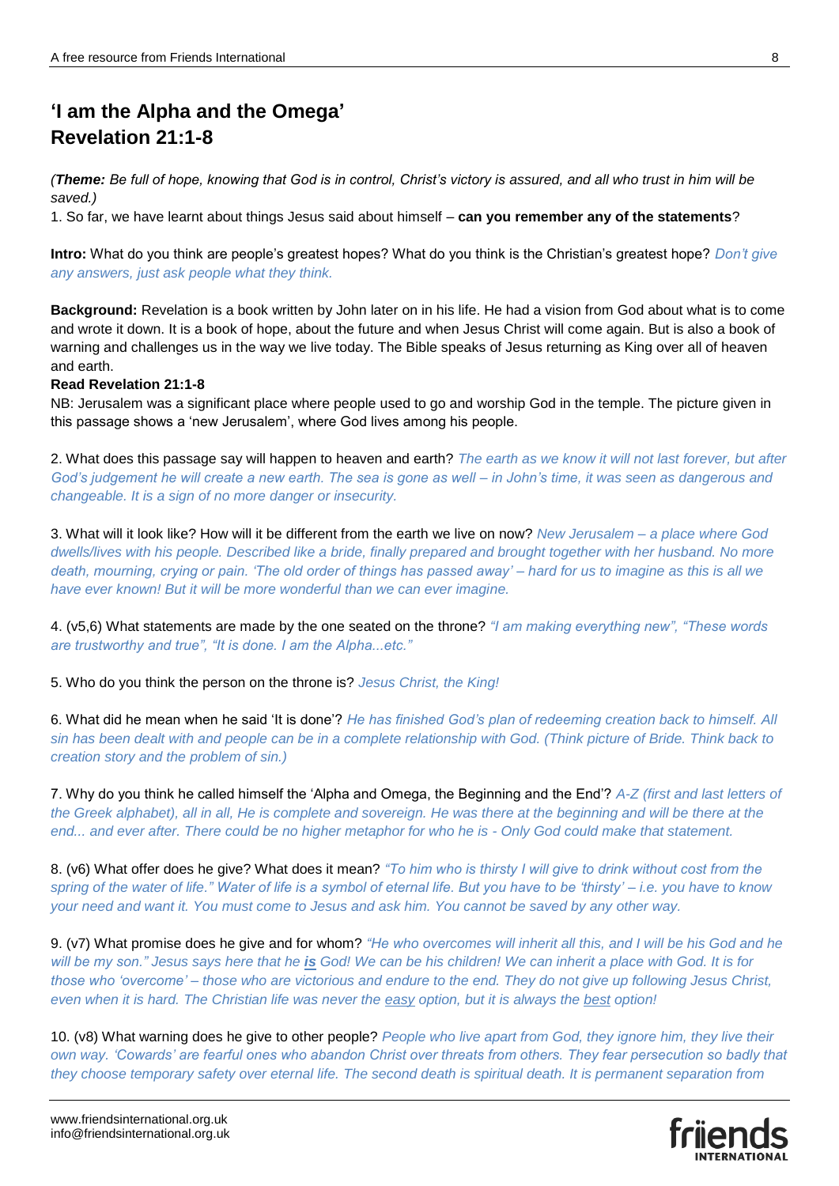# **'I am the Alpha and the Omega' Revelation 21:1-8**

*(Theme: Be full of hope, knowing that God is in control, Christ's victory is assured, and all who trust in him will be saved.)*

1. So far, we have learnt about things Jesus said about himself – **can you remember any of the statements**?

**Intro:** What do you think are people's greatest hopes? What do you think is the Christian's greatest hope? *Don't give any answers, just ask people what they think.* 

**Background:** Revelation is a book written by John later on in his life. He had a vision from God about what is to come and wrote it down. It is a book of hope, about the future and when Jesus Christ will come again. But is also a book of warning and challenges us in the way we live today. The Bible speaks of Jesus returning as King over all of heaven and earth.

#### **Read Revelation 21:1-8**

NB: Jerusalem was a significant place where people used to go and worship God in the temple. The picture given in this passage shows a 'new Jerusalem', where God lives among his people.

2. What does this passage say will happen to heaven and earth? *The earth as we know it will not last forever, but after God's judgement he will create a new earth. The sea is gone as well – in John's time, it was seen as dangerous and changeable. It is a sign of no more danger or insecurity.* 

3. What will it look like? How will it be different from the earth we live on now? *New Jerusalem – a place where God dwells/lives with his people. Described like a bride, finally prepared and brought together with her husband. No more death, mourning, crying or pain. 'The old order of things has passed away' – hard for us to imagine as this is all we have ever known! But it will be more wonderful than we can ever imagine.* 

4. (v5,6) What statements are made by the one seated on the throne? *"I am making everything new", "These words are trustworthy and true", "It is done. I am the Alpha...etc."*

5. Who do you think the person on the throne is? *Jesus Christ, the King!*

6. What did he mean when he said 'It is done'? *He has finished God's plan of redeeming creation back to himself. All sin has been dealt with and people can be in a complete relationship with God. (Think picture of Bride. Think back to creation story and the problem of sin.)*

7. Why do you think he called himself the 'Alpha and Omega, the Beginning and the End'? *A-Z (first and last letters of the Greek alphabet), all in all, He is complete and sovereign. He was there at the beginning and will be there at the end... and ever after. There could be no higher metaphor for who he is - Only God could make that statement.* 

8. (v6) What offer does he give? What does it mean? *"To him who is thirsty I will give to drink without cost from the spring of the water of life." Water of life is a symbol of eternal life. But you have to be 'thirsty' – i.e. you have to know your need and want it. You must come to Jesus and ask him. You cannot be saved by any other way.*

9. (v7) What promise does he give and for whom? *"He who overcomes will inherit all this, and I will be his God and he will be my son." Jesus says here that he is God! We can be his children! We can inherit a place with God. It is for those who 'overcome' – those who are victorious and endure to the end. They do not give up following Jesus Christ, even when it is hard. The Christian life was never the easy option, but it is always the best option!*

10. (v8) What warning does he give to other people? *People who live apart from God, they ignore him, they live their own way. 'Cowards' are fearful ones who abandon Christ over threats from others. They fear persecution so badly that they choose temporary safety over eternal life. The second death is spiritual death. It is permanent separation from*